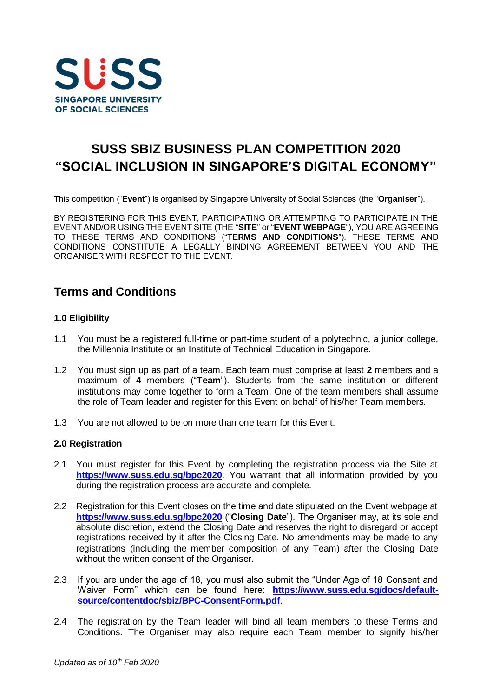

# **SUSS SBIZ BUSINESS PLAN COMPETITION 2020 "SOCIAL INCLUSION IN SINGAPORE'S DIGITAL ECONOMY"**

This competition ("**Event**") is organised by Singapore University of Social Sciences (the "**Organiser**").

BY REGISTERING FOR THIS EVENT, PARTICIPATING OR ATTEMPTING TO PARTICIPATE IN THE EVENT AND/OR USING THE EVENT SITE (THE "**SITE**" or "**EVENT WEBPAGE**"), YOU ARE AGREEING TO THESE TERMS AND CONDITIONS ("**TERMS AND CONDITIONS**"). THESE TERMS AND CONDITIONS CONSTITUTE A LEGALLY BINDING AGREEMENT BETWEEN YOU AND THE ORGANISER WITH RESPECT TO THE EVENT.

## **Terms and Conditions**

#### **1.0 Eligibility**

- 1.1 You must be a registered full-time or part-time student of a polytechnic, a junior college, the Millennia Institute or an Institute of Technical Education in Singapore.
- 1.2 You must sign up as part of a team. Each team must comprise at least **2** members and a maximum of **4** members ("**Team**"). Students from the same institution or different institutions may come together to form a Team. One of the team members shall assume the role of Team leader and register for this Event on behalf of his/her Team members.
- 1.3 You are not allowed to be on more than one team for this Event.

#### **2.0 Registration**

- 2.1 You must register for this Event by completing the registration process via the Site at **<https://www.suss.edu.sg/bpc2020>**. You warrant that all information provided by you during the registration process are accurate and complete.
- 2.2 Registration for this Event closes on the time and date stipulated on the Event webpage at **<https://www.suss.edu.sg/bpc2020>** ("**Closing Date**"). The Organiser may, at its sole and absolute discretion, extend the Closing Date and reserves the right to disregard or accept registrations received by it after the Closing Date. No amendments may be made to any registrations (including the member composition of any Team) after the Closing Date without the written consent of the Organiser.
- 2.3 If you are under the age of 18, you must also submit the "Under Age of 18 Consent and Waiver Form" which can be found here: **[https://www.suss.edu.sg/docs/default](https://www.suss.edu.sg/docs/default-source/contentdoc/sbiz/BPC-ConsentForm.pdf)[source/contentdoc/sbiz/BPC-ConsentForm.pdf](https://www.suss.edu.sg/docs/default-source/contentdoc/sbiz/BPC-ConsentForm.pdf)**.
- 2.4 The registration by the Team leader will bind all team members to these Terms and Conditions. The Organiser may also require each Team member to signify his/her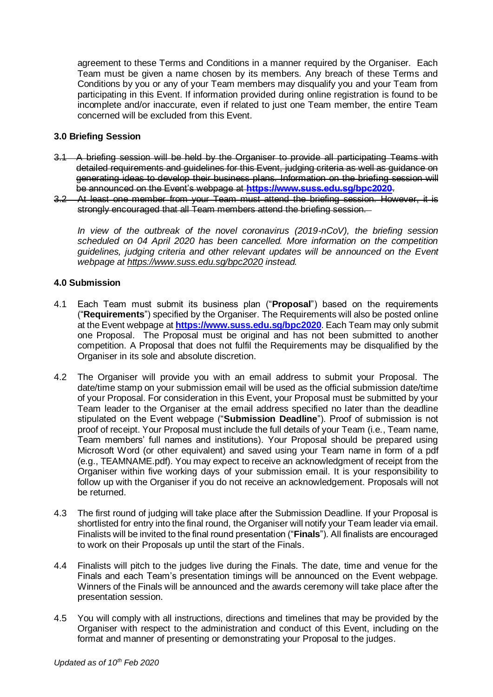agreement to these Terms and Conditions in a manner required by the Organiser. Each Team must be given a name chosen by its members. Any breach of these Terms and Conditions by you or any of your Team members may disqualify you and your Team from participating in this Event. If information provided during online registration is found to be incomplete and/or inaccurate, even if related to just one Team member, the entire Team concerned will be excluded from this Event.

#### **3.0 Briefing Session**

- 3.1 A briefing session will be held by the Organiser to provide all participating Teams with detailed requirements and guidelines for this Event, judging criteria as well as guidance on generating ideas to develop their business plans. Information on the briefing session will be announced on the Event's webpage at **<https://www.suss.edu.sg/bpc2020>**.
- 3.2 At least one member from your Team must attend the briefing session. However, it is strongly encouraged that all Team members attend the briefing session.

*In view of the outbreak of the novel coronavirus (2019-nCoV), the briefing session scheduled on 04 April 2020 has been cancelled. More information on the competition guidelines, judging criteria and other relevant updates will be announced on the Event webpage at <https://www.suss.edu.sg/bpc2020> instead.*

### **4.0 Submission**

- 4.1 Each Team must submit its business plan ("**Proposal**") based on the requirements ("**Requirements**") specified by the Organiser. The Requirements will also be posted online at the Event webpage at **<https://www.suss.edu.sg/bpc2020>**. Each Team may only submit one Proposal. The Proposal must be original and has not been submitted to another competition. A Proposal that does not fulfil the Requirements may be disqualified by the Organiser in its sole and absolute discretion.
- 4.2 The Organiser will provide you with an email address to submit your Proposal. The date/time stamp on your submission email will be used as the official submission date/time of your Proposal. For consideration in this Event, your Proposal must be submitted by your Team leader to the Organiser at the email address specified no later than the deadline stipulated on the Event webpage ("**Submission Deadline**"). Proof of submission is not proof of receipt. Your Proposal must include the full details of your Team (i.e., Team name, Team members' full names and institutions). Your Proposal should be prepared using Microsoft Word (or other equivalent) and saved using your Team name in form of a pdf (e.g., TEAMNAME.pdf). You may expect to receive an acknowledgment of receipt from the Organiser within five working days of your submission email. It is your responsibility to follow up with the Organiser if you do not receive an acknowledgement. Proposals will not be returned.
- 4.3 The first round of judging will take place after the Submission Deadline. If your Proposal is shortlisted for entry into the final round, the Organiser will notify your Team leader via email. Finalists will be invited to the final round presentation ("**Finals**"). All finalists are encouraged to work on their Proposals up until the start of the Finals.
- 4.4 Finalists will pitch to the judges live during the Finals. The date, time and venue for the Finals and each Team's presentation timings will be announced on the Event webpage. Winners of the Finals will be announced and the awards ceremony will take place after the presentation session.
- 4.5 You will comply with all instructions, directions and timelines that may be provided by the Organiser with respect to the administration and conduct of this Event, including on the format and manner of presenting or demonstrating your Proposal to the judges.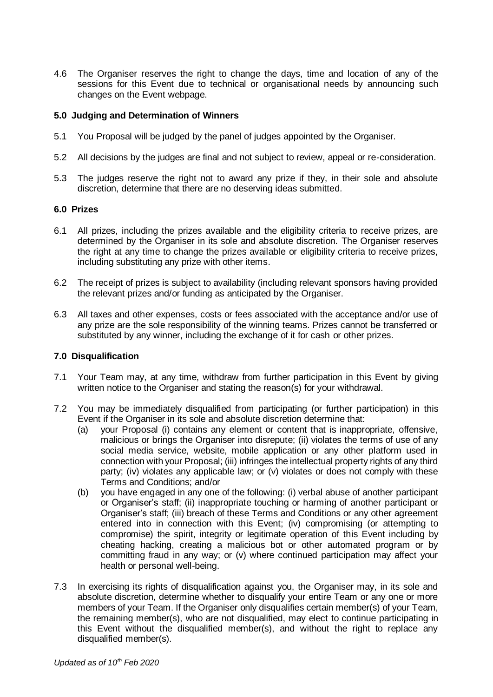4.6 The Organiser reserves the right to change the days, time and location of any of the sessions for this Event due to technical or organisational needs by announcing such changes on the Event webpage.

#### **5.0 Judging and Determination of Winners**

- 5.1 You Proposal will be judged by the panel of judges appointed by the Organiser.
- 5.2 All decisions by the judges are final and not subject to review, appeal or re-consideration.
- 5.3 The judges reserve the right not to award any prize if they, in their sole and absolute discretion, determine that there are no deserving ideas submitted.

#### **6.0 Prizes**

- 6.1 All prizes, including the prizes available and the eligibility criteria to receive prizes, are determined by the Organiser in its sole and absolute discretion. The Organiser reserves the right at any time to change the prizes available or eligibility criteria to receive prizes, including substituting any prize with other items.
- 6.2 The receipt of prizes is subject to availability (including relevant sponsors having provided the relevant prizes and/or funding as anticipated by the Organiser.
- 6.3 All taxes and other expenses, costs or fees associated with the acceptance and/or use of any prize are the sole responsibility of the winning teams. Prizes cannot be transferred or substituted by any winner, including the exchange of it for cash or other prizes.

#### **7.0 Disqualification**

- 7.1 Your Team may, at any time, withdraw from further participation in this Event by giving written notice to the Organiser and stating the reason(s) for your withdrawal.
- 7.2 You may be immediately disqualified from participating (or further participation) in this Event if the Organiser in its sole and absolute discretion determine that:
	- (a) your Proposal (i) contains any element or content that is inappropriate, offensive, malicious or brings the Organiser into disrepute; (ii) violates the terms of use of any social media service, website, mobile application or any other platform used in connection with your Proposal; (iii) infringes the intellectual property rights of any third party; (iv) violates any applicable law; or (v) violates or does not comply with these Terms and Conditions; and/or
	- (b) you have engaged in any one of the following: (i) verbal abuse of another participant or Organiser's staff; (ii) inappropriate touching or harming of another participant or Organiser's staff; (iii) breach of these Terms and Conditions or any other agreement entered into in connection with this Event; (iv) compromising (or attempting to compromise) the spirit, integrity or legitimate operation of this Event including by cheating hacking, creating a malicious bot or other automated program or by committing fraud in any way; or (v) where continued participation may affect your health or personal well-being.
- 7.3 In exercising its rights of disqualification against you, the Organiser may, in its sole and absolute discretion, determine whether to disqualify your entire Team or any one or more members of your Team. If the Organiser only disqualifies certain member(s) of your Team, the remaining member(s), who are not disqualified, may elect to continue participating in this Event without the disqualified member(s), and without the right to replace any disqualified member(s).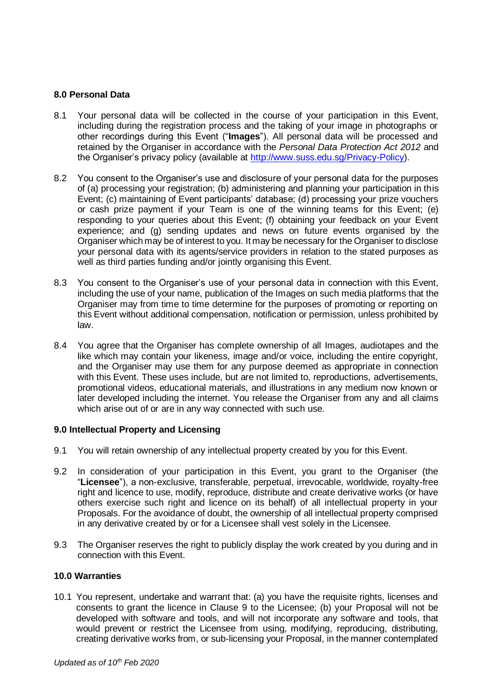#### **8.0 Personal Data**

- 8.1 Your personal data will be collected in the course of your participation in this Event, including during the registration process and the taking of your image in photographs or other recordings during this Event ("**Images**"). All personal data will be processed and retained by the Organiser in accordance with the *Personal Data Protection Act 2012* and the Organiser's privacy policy (available at [http://www.suss.edu.sg/Privacy-Policy\)](http://www.suss.edu.sg/Privacy-Policy).
- 8.2 You consent to the Organiser's use and disclosure of your personal data for the purposes of (a) processing your registration; (b) administering and planning your participation in this Event; (c) maintaining of Event participants' database; (d) processing your prize vouchers or cash prize payment if your Team is one of the winning teams for this Event; (e) responding to your queries about this Event; (f) obtaining your feedback on your Event experience; and (g) sending updates and news on future events organised by the Organiser which may be of interest to you. It may be necessary for the Organiser to disclose your personal data with its agents/service providers in relation to the stated purposes as well as third parties funding and/or jointly organising this Event.
- 8.3 You consent to the Organiser's use of your personal data in connection with this Event, including the use of your name, publication of the Images on such media platforms that the Organiser may from time to time determine for the purposes of promoting or reporting on this Event without additional compensation, notification or permission, unless prohibited by law.
- 8.4 You agree that the Organiser has complete ownership of all Images, audiotapes and the like which may contain your likeness, image and/or voice, including the entire copyright, and the Organiser may use them for any purpose deemed as appropriate in connection with this Event. These uses include, but are not limited to, reproductions, advertisements, promotional videos, educational materials, and illustrations in any medium now known or later developed including the internet. You release the Organiser from any and all claims which arise out of or are in any way connected with such use.

#### **9.0 Intellectual Property and Licensing**

- 9.1 You will retain ownership of any intellectual property created by you for this Event.
- 9.2 In consideration of your participation in this Event, you grant to the Organiser (the "**Licensee**"), a non-exclusive, transferable, perpetual, irrevocable, worldwide, royalty-free right and licence to use, modify, reproduce, distribute and create derivative works (or have others exercise such right and licence on its behalf) of all intellectual property in your Proposals. For the avoidance of doubt, the ownership of all intellectual property comprised in any derivative created by or for a Licensee shall vest solely in the Licensee.
- 9.3 The Organiser reserves the right to publicly display the work created by you during and in connection with this Event.

#### **10.0 Warranties**

10.1 You represent, undertake and warrant that: (a) you have the requisite rights, licenses and consents to grant the licence in Clause 9 to the Licensee; (b) your Proposal will not be developed with software and tools, and will not incorporate any software and tools, that would prevent or restrict the Licensee from using, modifying, reproducing, distributing, creating derivative works from, or sub-licensing your Proposal, in the manner contemplated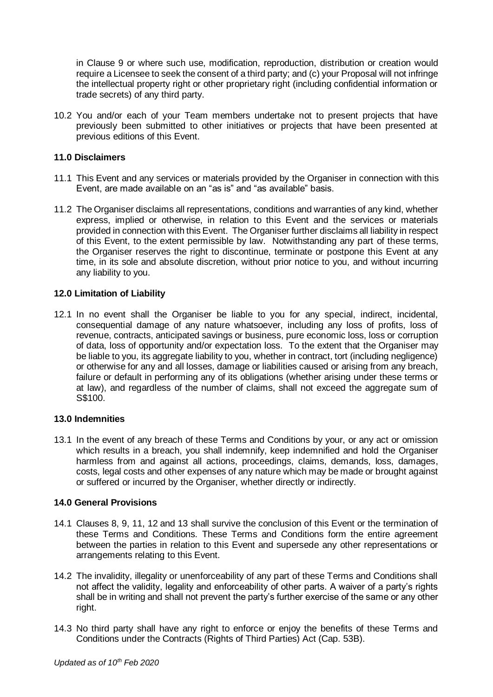in Clause 9 or where such use, modification, reproduction, distribution or creation would require a Licensee to seek the consent of a third party; and (c) your Proposal will not infringe the intellectual property right or other proprietary right (including confidential information or trade secrets) of any third party.

10.2 You and/or each of your Team members undertake not to present projects that have previously been submitted to other initiatives or projects that have been presented at previous editions of this Event.

#### **11.0 Disclaimers**

- 11.1 This Event and any services or materials provided by the Organiser in connection with this Event, are made available on an "as is" and "as available" basis.
- 11.2 The Organiser disclaims all representations, conditions and warranties of any kind, whether express, implied or otherwise, in relation to this Event and the services or materials provided in connection with this Event. The Organiser further disclaims all liability in respect of this Event, to the extent permissible by law. Notwithstanding any part of these terms, the Organiser reserves the right to discontinue, terminate or postpone this Event at any time, in its sole and absolute discretion, without prior notice to you, and without incurring any liability to you.

#### **12.0 Limitation of Liability**

12.1 In no event shall the Organiser be liable to you for any special, indirect, incidental, consequential damage of any nature whatsoever, including any loss of profits, loss of revenue, contracts, anticipated savings or business, pure economic loss, loss or corruption of data, loss of opportunity and/or expectation loss. To the extent that the Organiser may be liable to you, its aggregate liability to you, whether in contract, tort (including negligence) or otherwise for any and all losses, damage or liabilities caused or arising from any breach, failure or default in performing any of its obligations (whether arising under these terms or at law), and regardless of the number of claims, shall not exceed the aggregate sum of S\$100.

#### **13.0 Indemnities**

13.1 In the event of any breach of these Terms and Conditions by your, or any act or omission which results in a breach, you shall indemnify, keep indemnified and hold the Organiser harmless from and against all actions, proceedings, claims, demands, loss, damages, costs, legal costs and other expenses of any nature which may be made or brought against or suffered or incurred by the Organiser, whether directly or indirectly.

#### **14.0 General Provisions**

- 14.1 Clauses 8, 9, 11, 12 and 13 shall survive the conclusion of this Event or the termination of these Terms and Conditions. These Terms and Conditions form the entire agreement between the parties in relation to this Event and supersede any other representations or arrangements relating to this Event.
- 14.2 The invalidity, illegality or unenforceability of any part of these Terms and Conditions shall not affect the validity, legality and enforceability of other parts. A waiver of a party's rights shall be in writing and shall not prevent the party's further exercise of the same or any other right.
- 14.3 No third party shall have any right to enforce or enjoy the benefits of these Terms and Conditions under the Contracts (Rights of Third Parties) Act (Cap. 53B).